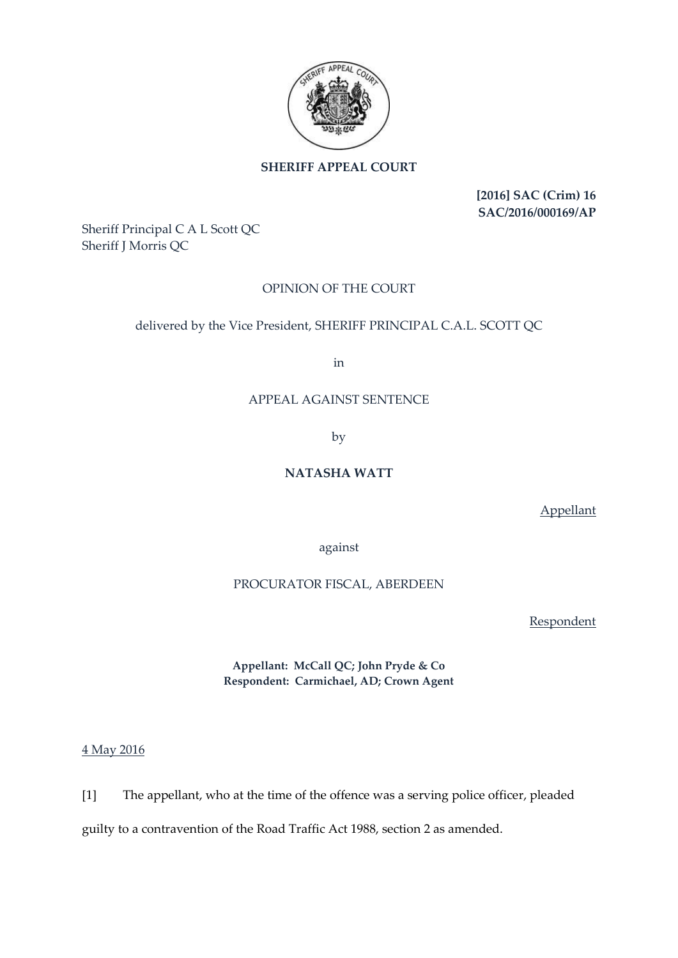

### **SHERIFF APPEAL COURT**

**[2016] SAC (Crim) 16 SAC/2016/000169/AP**

Sheriff Principal C A L Scott QC Sheriff J Morris QC

# OPINION OF THE COURT

# delivered by the Vice President, SHERIFF PRINCIPAL C.A.L. SCOTT QC

in

### APPEAL AGAINST SENTENCE

by

# **NATASHA WATT**

Appellant

against

### PROCURATOR FISCAL, ABERDEEN

Respondent

**Appellant: McCall QC; John Pryde & Co Respondent: Carmichael, AD; Crown Agent**

4 May 2016

[1] The appellant, who at the time of the offence was a serving police officer, pleaded

guilty to a contravention of the Road Traffic Act 1988, section 2 as amended.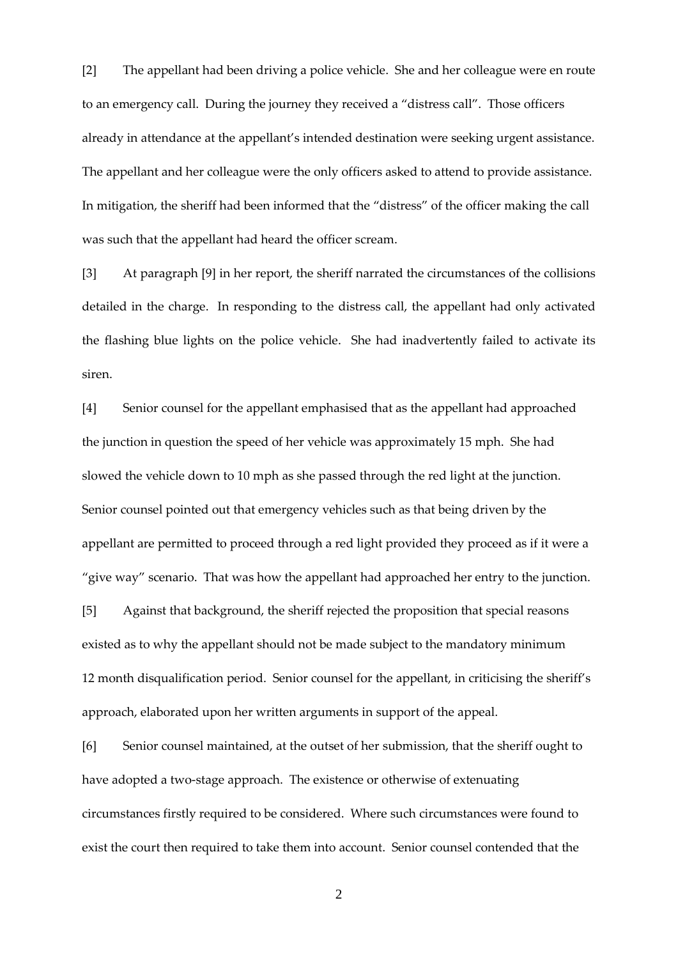[2] The appellant had been driving a police vehicle. She and her colleague were en route to an emergency call. During the journey they received a "distress call". Those officers already in attendance at the appellant's intended destination were seeking urgent assistance. The appellant and her colleague were the only officers asked to attend to provide assistance. In mitigation, the sheriff had been informed that the "distress" of the officer making the call was such that the appellant had heard the officer scream.

[3] At paragraph [9] in her report, the sheriff narrated the circumstances of the collisions detailed in the charge. In responding to the distress call, the appellant had only activated the flashing blue lights on the police vehicle. She had inadvertently failed to activate its siren.

[4] Senior counsel for the appellant emphasised that as the appellant had approached the junction in question the speed of her vehicle was approximately 15 mph. She had slowed the vehicle down to 10 mph as she passed through the red light at the junction. Senior counsel pointed out that emergency vehicles such as that being driven by the appellant are permitted to proceed through a red light provided they proceed as if it were a "give way" scenario. That was how the appellant had approached her entry to the junction.

[5] Against that background, the sheriff rejected the proposition that special reasons existed as to why the appellant should not be made subject to the mandatory minimum 12 month disqualification period. Senior counsel for the appellant, in criticising the sheriff's approach, elaborated upon her written arguments in support of the appeal.

[6] Senior counsel maintained, at the outset of her submission, that the sheriff ought to have adopted a two-stage approach. The existence or otherwise of extenuating circumstances firstly required to be considered. Where such circumstances were found to exist the court then required to take them into account. Senior counsel contended that the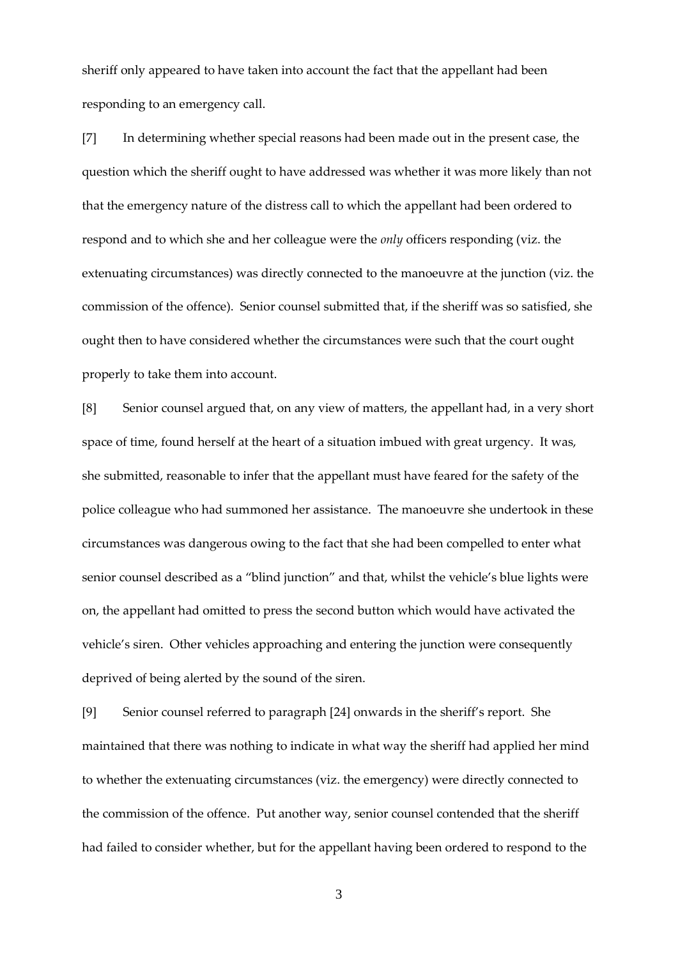sheriff only appeared to have taken into account the fact that the appellant had been responding to an emergency call.

[7] In determining whether special reasons had been made out in the present case, the question which the sheriff ought to have addressed was whether it was more likely than not that the emergency nature of the distress call to which the appellant had been ordered to respond and to which she and her colleague were the *only* officers responding (viz. the extenuating circumstances) was directly connected to the manoeuvre at the junction (viz. the commission of the offence). Senior counsel submitted that, if the sheriff was so satisfied, she ought then to have considered whether the circumstances were such that the court ought properly to take them into account.

[8] Senior counsel argued that, on any view of matters, the appellant had, in a very short space of time, found herself at the heart of a situation imbued with great urgency. It was, she submitted, reasonable to infer that the appellant must have feared for the safety of the police colleague who had summoned her assistance. The manoeuvre she undertook in these circumstances was dangerous owing to the fact that she had been compelled to enter what senior counsel described as a "blind junction" and that, whilst the vehicle's blue lights were on, the appellant had omitted to press the second button which would have activated the vehicle's siren. Other vehicles approaching and entering the junction were consequently deprived of being alerted by the sound of the siren.

[9] Senior counsel referred to paragraph [24] onwards in the sheriff's report. She maintained that there was nothing to indicate in what way the sheriff had applied her mind to whether the extenuating circumstances (viz. the emergency) were directly connected to the commission of the offence. Put another way, senior counsel contended that the sheriff had failed to consider whether, but for the appellant having been ordered to respond to the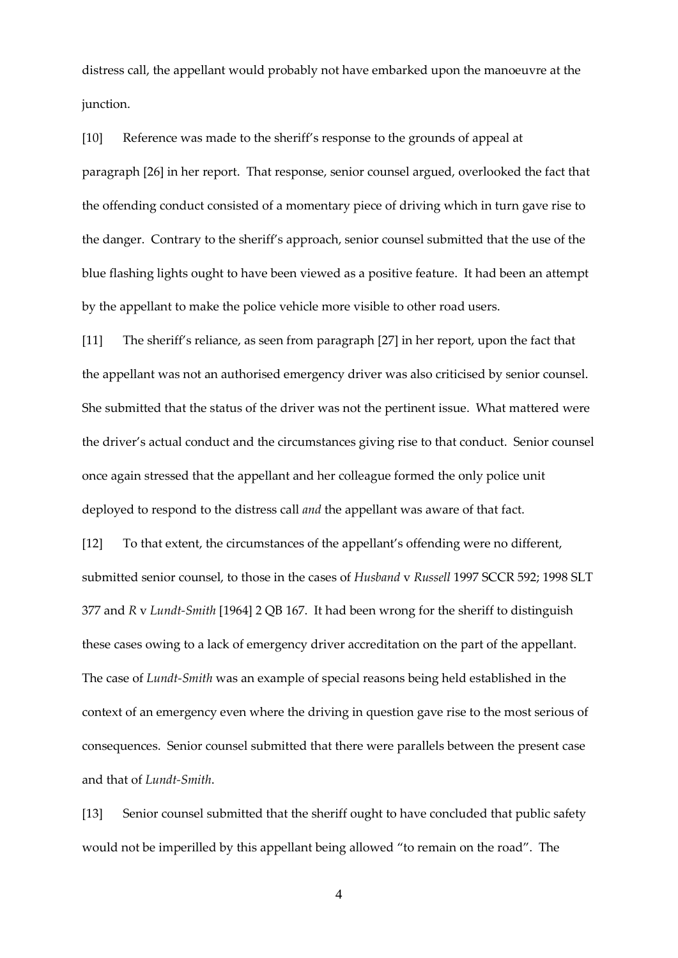distress call, the appellant would probably not have embarked upon the manoeuvre at the junction.

[10] Reference was made to the sheriff's response to the grounds of appeal at paragraph [26] in her report. That response, senior counsel argued, overlooked the fact that the offending conduct consisted of a momentary piece of driving which in turn gave rise to the danger. Contrary to the sheriff's approach, senior counsel submitted that the use of the blue flashing lights ought to have been viewed as a positive feature. It had been an attempt by the appellant to make the police vehicle more visible to other road users.

[11] The sheriff's reliance, as seen from paragraph [27] in her report, upon the fact that the appellant was not an authorised emergency driver was also criticised by senior counsel. She submitted that the status of the driver was not the pertinent issue. What mattered were the driver's actual conduct and the circumstances giving rise to that conduct. Senior counsel once again stressed that the appellant and her colleague formed the only police unit deployed to respond to the distress call *and* the appellant was aware of that fact.

[12] To that extent, the circumstances of the appellant's offending were no different, submitted senior counsel, to those in the cases of *Husband* v *Russell* 1997 SCCR 592; 1998 SLT 377 and *R* v *Lundt-Smith* [1964] 2 QB 167. It had been wrong for the sheriff to distinguish these cases owing to a lack of emergency driver accreditation on the part of the appellant. The case of *Lundt-Smith* was an example of special reasons being held established in the context of an emergency even where the driving in question gave rise to the most serious of consequences. Senior counsel submitted that there were parallels between the present case and that of *Lundt-Smith*.

[13] Senior counsel submitted that the sheriff ought to have concluded that public safety would not be imperilled by this appellant being allowed "to remain on the road". The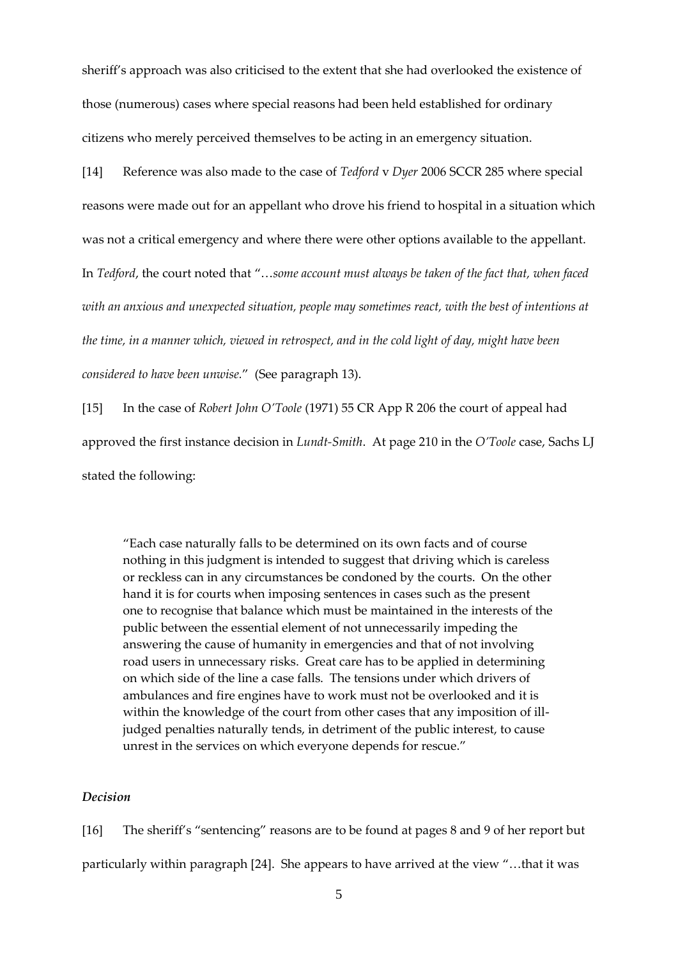sheriff's approach was also criticised to the extent that she had overlooked the existence of those (numerous) cases where special reasons had been held established for ordinary citizens who merely perceived themselves to be acting in an emergency situation.

[14] Reference was also made to the case of *Tedford* v *Dyer* 2006 SCCR 285 where special reasons were made out for an appellant who drove his friend to hospital in a situation which was not a critical emergency and where there were other options available to the appellant. In *Tedford*, the court noted that "…*some account must always be taken of the fact that, when faced with an anxious and unexpected situation, people may sometimes react, with the best of intentions at the time, in a manner which, viewed in retrospect, and in the cold light of day, might have been considered to have been unwise.*" (See paragraph 13).

[15] In the case of *Robert John O'Toole* (1971) 55 CR App R 206 the court of appeal had approved the first instance decision in *Lundt-Smith*. At page 210 in the *O'Toole* case, Sachs LJ stated the following:

"Each case naturally falls to be determined on its own facts and of course nothing in this judgment is intended to suggest that driving which is careless or reckless can in any circumstances be condoned by the courts. On the other hand it is for courts when imposing sentences in cases such as the present one to recognise that balance which must be maintained in the interests of the public between the essential element of not unnecessarily impeding the answering the cause of humanity in emergencies and that of not involving road users in unnecessary risks. Great care has to be applied in determining on which side of the line a case falls. The tensions under which drivers of ambulances and fire engines have to work must not be overlooked and it is within the knowledge of the court from other cases that any imposition of illjudged penalties naturally tends, in detriment of the public interest, to cause unrest in the services on which everyone depends for rescue."

### *Decision*

[16] The sheriff's "sentencing" reasons are to be found at pages 8 and 9 of her report but particularly within paragraph [24]. She appears to have arrived at the view "…that it was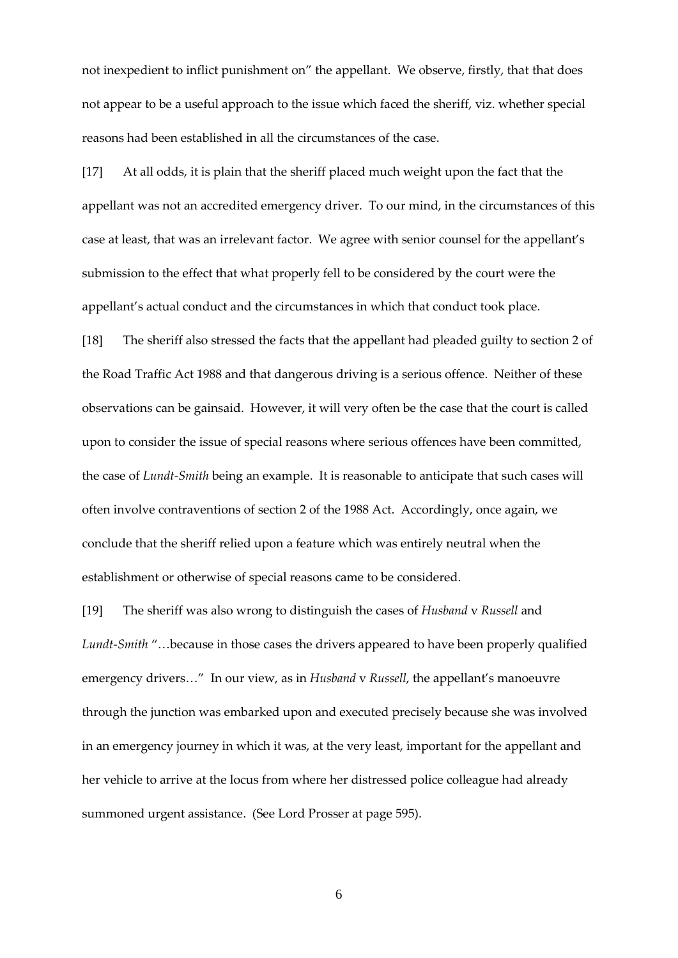not inexpedient to inflict punishment on" the appellant. We observe, firstly, that that does not appear to be a useful approach to the issue which faced the sheriff, viz. whether special reasons had been established in all the circumstances of the case.

[17] At all odds, it is plain that the sheriff placed much weight upon the fact that the appellant was not an accredited emergency driver. To our mind, in the circumstances of this case at least, that was an irrelevant factor. We agree with senior counsel for the appellant's submission to the effect that what properly fell to be considered by the court were the appellant's actual conduct and the circumstances in which that conduct took place.

[18] The sheriff also stressed the facts that the appellant had pleaded guilty to section 2 of the Road Traffic Act 1988 and that dangerous driving is a serious offence. Neither of these observations can be gainsaid. However, it will very often be the case that the court is called upon to consider the issue of special reasons where serious offences have been committed, the case of *Lundt-Smith* being an example. It is reasonable to anticipate that such cases will often involve contraventions of section 2 of the 1988 Act. Accordingly, once again, we conclude that the sheriff relied upon a feature which was entirely neutral when the establishment or otherwise of special reasons came to be considered.

[19] The sheriff was also wrong to distinguish the cases of *Husband* v *Russell* and *Lundt-Smith* "…because in those cases the drivers appeared to have been properly qualified emergency drivers…" In our view, as in *Husband* v *Russell*, the appellant's manoeuvre through the junction was embarked upon and executed precisely because she was involved in an emergency journey in which it was, at the very least, important for the appellant and her vehicle to arrive at the locus from where her distressed police colleague had already summoned urgent assistance. (See Lord Prosser at page 595).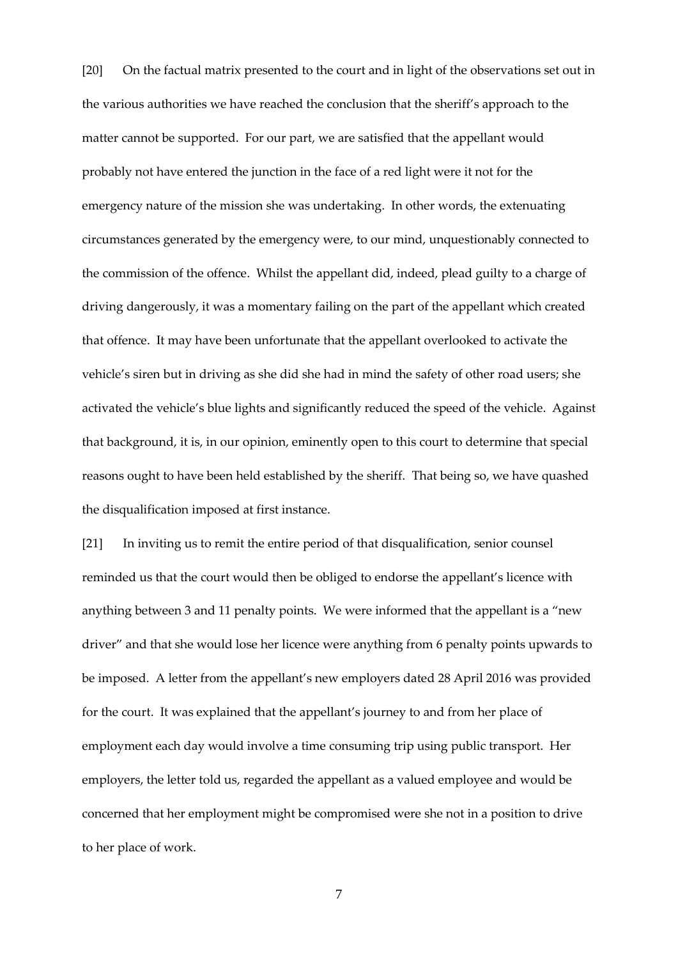[20] On the factual matrix presented to the court and in light of the observations set out in the various authorities we have reached the conclusion that the sheriff's approach to the matter cannot be supported. For our part, we are satisfied that the appellant would probably not have entered the junction in the face of a red light were it not for the emergency nature of the mission she was undertaking. In other words, the extenuating circumstances generated by the emergency were, to our mind, unquestionably connected to the commission of the offence. Whilst the appellant did, indeed, plead guilty to a charge of driving dangerously, it was a momentary failing on the part of the appellant which created that offence. It may have been unfortunate that the appellant overlooked to activate the vehicle's siren but in driving as she did she had in mind the safety of other road users; she activated the vehicle's blue lights and significantly reduced the speed of the vehicle. Against that background, it is, in our opinion, eminently open to this court to determine that special reasons ought to have been held established by the sheriff. That being so, we have quashed the disqualification imposed at first instance.

[21] In inviting us to remit the entire period of that disqualification, senior counsel reminded us that the court would then be obliged to endorse the appellant's licence with anything between 3 and 11 penalty points. We were informed that the appellant is a "new driver" and that she would lose her licence were anything from 6 penalty points upwards to be imposed. A letter from the appellant's new employers dated 28 April 2016 was provided for the court. It was explained that the appellant's journey to and from her place of employment each day would involve a time consuming trip using public transport. Her employers, the letter told us, regarded the appellant as a valued employee and would be concerned that her employment might be compromised were she not in a position to drive to her place of work.